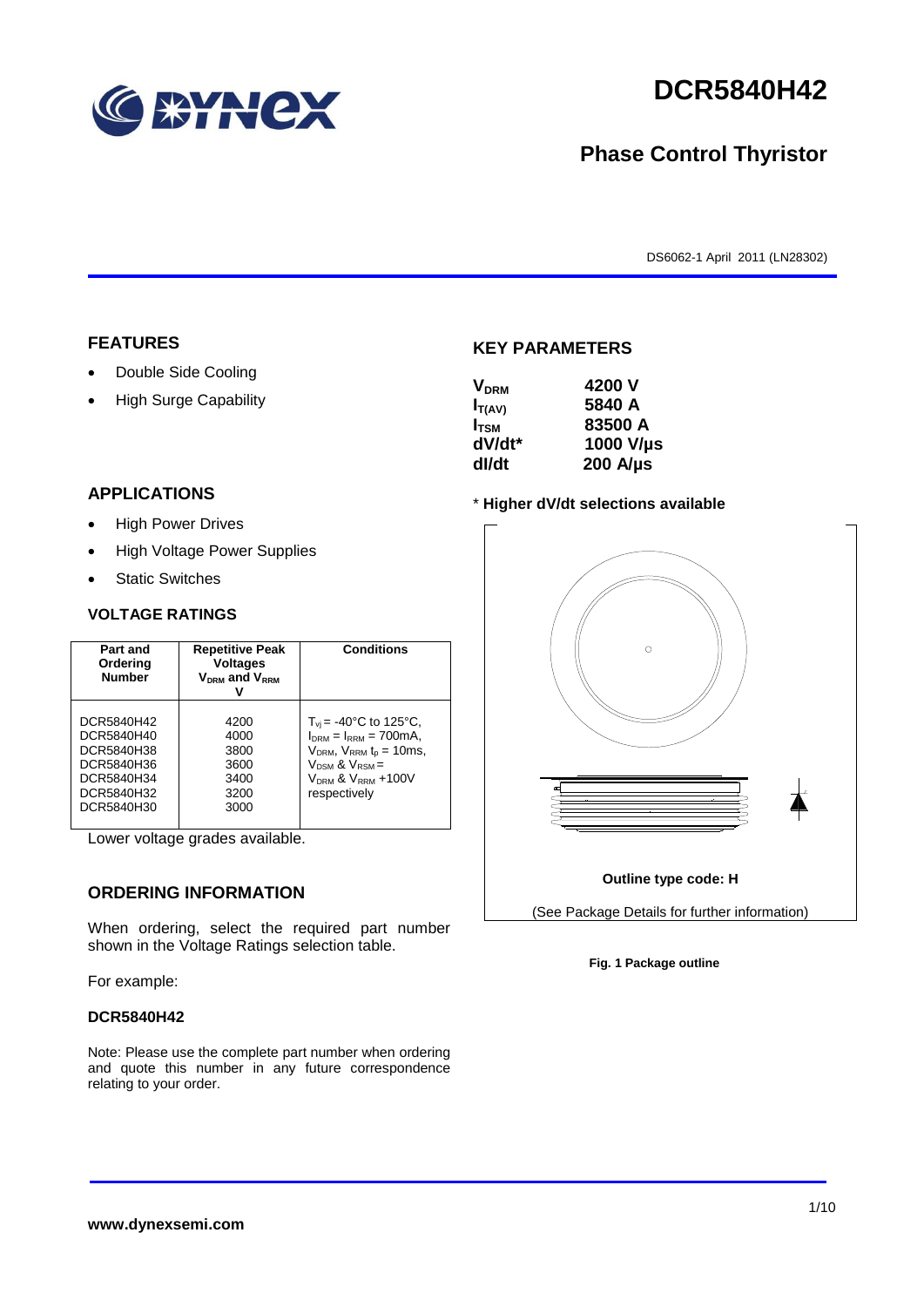

# **DCR5840H42**

# **Phase Control Thyristor**

DS6062-1 April 2011 (LN28302)

### **FEATURES**

- Double Side Cooling
- High Surge Capability

## $V_{\text{DPM}}$  4200 V

**KEY PARAMETERS**

| - 1711111        |                  |
|------------------|------------------|
| $I_{T(AV)}$      | 5840 A           |
| I <sub>tsm</sub> | 83500 A          |
| dV/dt*           | 1000 V/µs        |
| dl/dt            | $200$ A/ $\mu$ s |
|                  |                  |

#### \* **Higher dV/dt selections available**



**Fig. 1 Package outline**

### **APPLICATIONS**

- High Power Drives
- High Voltage Power Supplies
- Static Switches

#### **VOLTAGE RATINGS**

| <b>Repetitive Peak</b><br>Part and<br><b>Voltages</b><br>Ordering<br><b>Number</b><br>$V_{DRM}$ and $V_{RRM}$ |                                                      | <b>Conditions</b>                                                                                                                                                               |
|---------------------------------------------------------------------------------------------------------------|------------------------------------------------------|---------------------------------------------------------------------------------------------------------------------------------------------------------------------------------|
| DCR5840H42<br>DCR5840H40<br>DCR5840H38<br>DCR5840H36<br>DCR5840H34<br>DCR5840H32<br>DCR5840H30                | 4200<br>4000<br>3800<br>3600<br>3400<br>3200<br>3000 | $T_{vi}$ = -40°C to 125°C,<br>$I_{DRM} = I_{RRM} = 700 \text{mA}$<br>$V_{DRM}$ , $V_{RRM}$ $t_{p}$ = 10ms,<br>$V_{DSM}$ & $V_{RSM}$ =<br>$VDRM$ & $VRRM + 100V$<br>respectively |

Lower voltage grades available.

### **ORDERING INFORMATION**

When ordering, select the required part number shown in the Voltage Ratings selection table.

#### For example:

#### **DCR5840H42**

Note: Please use the complete part number when ordering and quote this number in any future correspondence relating to your order.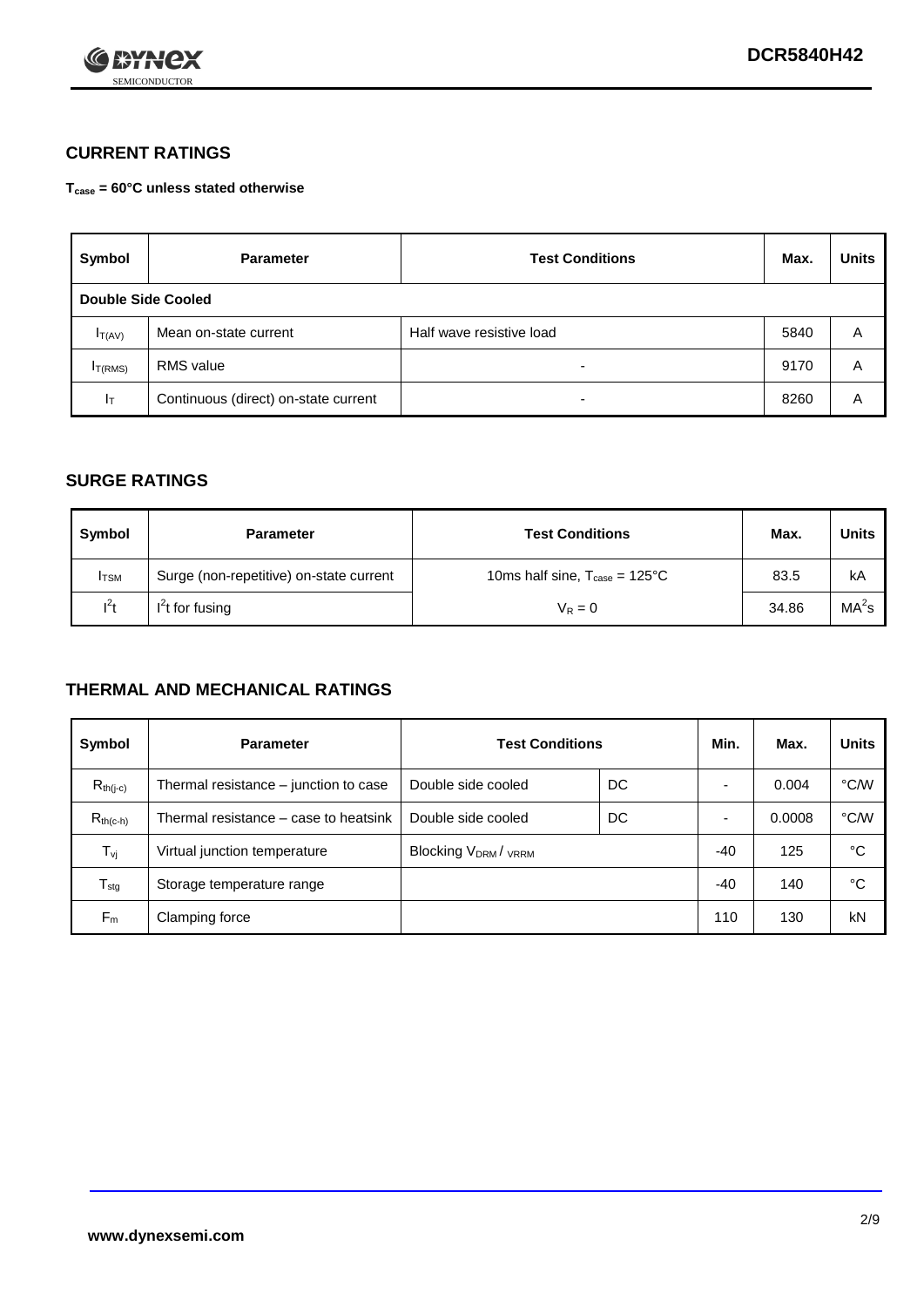

### **CURRENT RATINGS**

**Tcase = 60°C unless stated otherwise**

| Symbol       | <b>Parameter</b>                     | <b>Test Conditions</b>   | Max. | <b>Units</b> |  |  |
|--------------|--------------------------------------|--------------------------|------|--------------|--|--|
|              | Double Side Cooled                   |                          |      |              |  |  |
| $I_{T(AV)}$  | Mean on-state current                | Half wave resistive load | 5840 | A            |  |  |
| $I_{T(RMS)}$ | RMS value                            | $\overline{\phantom{a}}$ | 9170 | Α            |  |  |
| Iт           | Continuous (direct) on-state current | $\overline{\phantom{a}}$ | 8260 | Α            |  |  |

### **SURGE RATINGS**

| Symbol       | <b>Parameter</b>                        | <b>Test Conditions</b>                           | Max.  | <b>Units</b>      |
|--------------|-----------------------------------------|--------------------------------------------------|-------|-------------------|
| <b>I</b> TSM | Surge (non-repetitive) on-state current | 10ms half sine, $T_{\text{case}} = 125^{\circ}C$ | 83.5  | kA                |
| $l^2t$       | $I2t$ for fusing                        | $V_R = 0$                                        | 34.86 | MA <sup>2</sup> s |

### **THERMAL AND MECHANICAL RATINGS**

| Symbol           | <b>Parameter</b>                      | <b>Test Conditions</b>    |    | Min.  | Max.   | <b>Units</b> |
|------------------|---------------------------------------|---------------------------|----|-------|--------|--------------|
| $R_{th(i-c)}$    | Thermal resistance – junction to case | Double side cooled        | DC |       | 0.004  | °C/W         |
| $R_{th(c-h)}$    | Thermal resistance – case to heatsink | Double side cooled        | DC |       | 0.0008 | °C/W         |
| $T_{\nu j}$      | Virtual junction temperature          | <b>Blocking VDRM/VRRM</b> |    | $-40$ | 125    | °C           |
| $T_{\text{stg}}$ | Storage temperature range             |                           |    | $-40$ | 140    | °C           |
| $F_m$            | Clamping force                        |                           |    | 110   | 130    | kN           |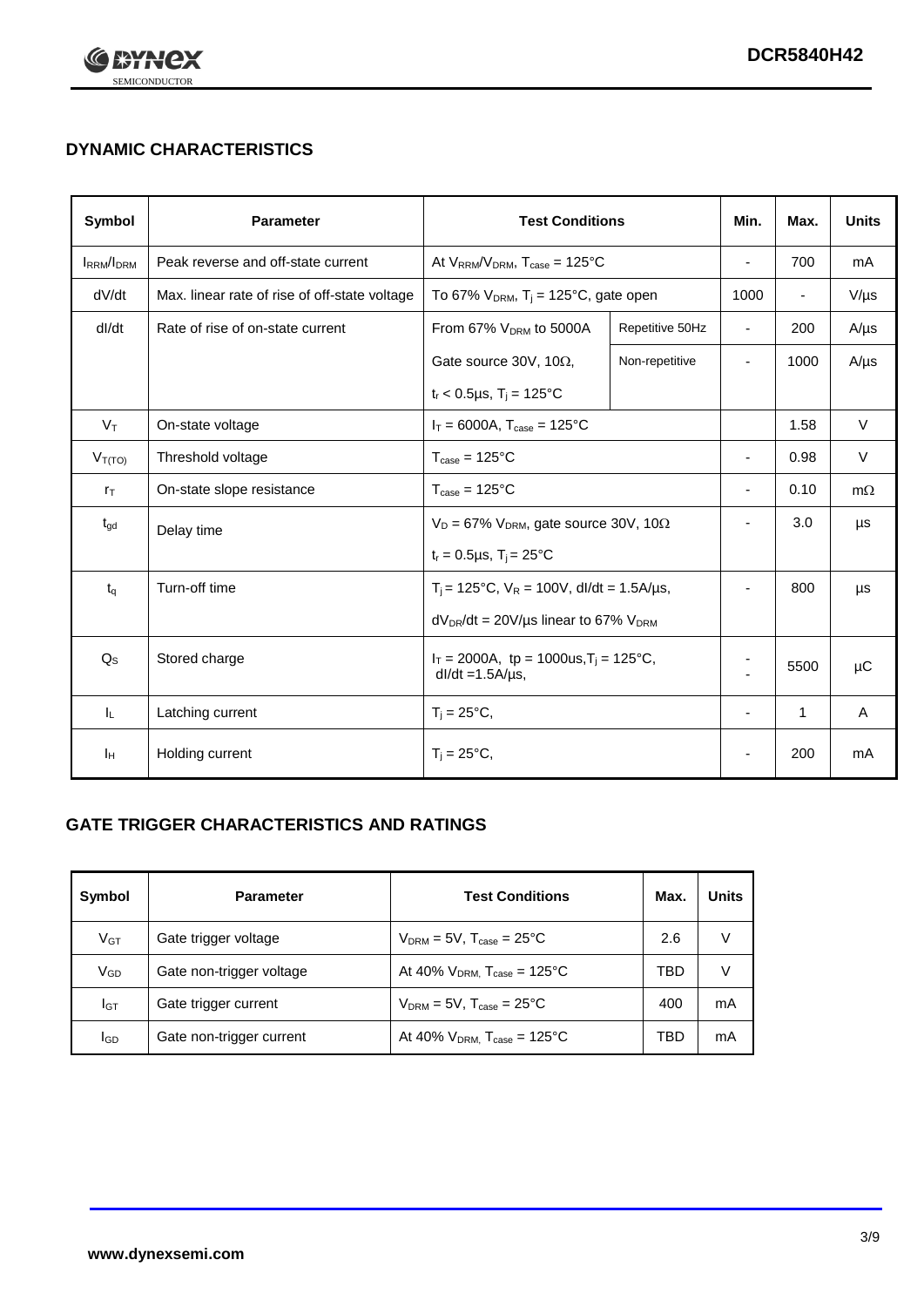

# **DYNAMIC CHARACTERISTICS**

| <b>Symbol</b>     | <b>Parameter</b>                              | <b>Test Conditions</b>                                                 |                 | Min.                     | Max.                     | <b>Units</b> |
|-------------------|-----------------------------------------------|------------------------------------------------------------------------|-----------------|--------------------------|--------------------------|--------------|
| <b>IRRM</b> /IDRM | Peak reverse and off-state current            | At $V_{RRM}/V_{DRM}$ , $T_{case} = 125^{\circ}C$                       |                 | $\blacksquare$           | 700                      | mA           |
| dV/dt             | Max. linear rate of rise of off-state voltage | To 67% $V_{DRM}$ , T <sub>i</sub> = 125°C, gate open                   |                 | 1000                     | $\overline{\phantom{a}}$ | $V/\mu s$    |
| dl/dt             | Rate of rise of on-state current              | From 67% $V_{DRM}$ to 5000A                                            | Repetitive 50Hz | $\overline{\phantom{a}}$ | 200                      | $A/\mu s$    |
|                   |                                               | Gate source 30V, 10Ω,                                                  | Non-repetitive  | ٠                        | 1000                     | $A/\mu s$    |
|                   |                                               | $t_r$ < 0.5µs, $T_i$ = 125°C                                           |                 |                          |                          |              |
| $V_T$             | On-state voltage                              | $I_T = 6000A$ , $T_{case} = 125^{\circ}C$                              |                 |                          | 1.58                     | $\vee$       |
| $V_{T(TO)}$       | Threshold voltage                             | $T_{\text{case}} = 125^{\circ}C$                                       |                 | ٠                        | 0.98                     | $\vee$       |
| $r_{\text{T}}$    | On-state slope resistance                     | $T_{\text{case}} = 125^{\circ}C$                                       |                 | $\overline{\phantom{a}}$ | 0.10                     | $m\Omega$    |
| $t_{\rm gd}$      | Delay time                                    | $V_D = 67\%$ V <sub>DRM</sub> , gate source 30V, 10 $\Omega$           |                 | ٠                        | 3.0                      | μs           |
|                   |                                               | $t_r = 0.5 \mu s$ , T <sub>i</sub> = 25°C                              |                 |                          |                          |              |
| $t_{q}$           | Turn-off time                                 | $T_i$ = 125°C, $V_R$ = 100V, dl/dt = 1.5A/µs,                          |                 | ä,                       | 800                      | μs           |
|                   |                                               | $dV_{DR}/dt = 20V/\mu s$ linear to 67% $V_{DRM}$                       |                 |                          |                          |              |
| $Q_{\rm S}$       | Stored charge                                 | $I_T = 2000A$ , tp = 1000us, $T_i = 125$ °C,<br>$dl/dt = 1.5A/\mu s$ , |                 |                          | 5500                     | $\mu$ C      |
| IL.               | Latching current                              | $T_i = 25^{\circ}C,$                                                   |                 | $\blacksquare$           | $\mathbf{1}$             | Α            |
| Iн                | Holding current                               | $T_i = 25^{\circ}C,$                                                   |                 |                          | 200                      | mA           |

### **GATE TRIGGER CHARACTERISTICS AND RATINGS**

| Symbol          | <b>Parameter</b>         | <b>Test Conditions</b>                       | Max. | Units |
|-----------------|--------------------------|----------------------------------------------|------|-------|
| V <sub>GT</sub> | Gate trigger voltage     | $V_{DRM}$ = 5V, $T_{case}$ = 25°C            | 2.6  | V     |
| $V_{GD}$        | Gate non-trigger voltage | At 40% $V_{DRM}$ , $T_{case}$ = 125°C        | TBD  | V     |
| Iст             | Gate trigger current     | $V_{DRM}$ = 5V, $T_{case}$ = 25°C            | 400  | mA    |
| <b>I</b> GD     | Gate non-trigger current | At 40% $V_{DRM}$ , $T_{case} = 125^{\circ}C$ | TBD  | mA    |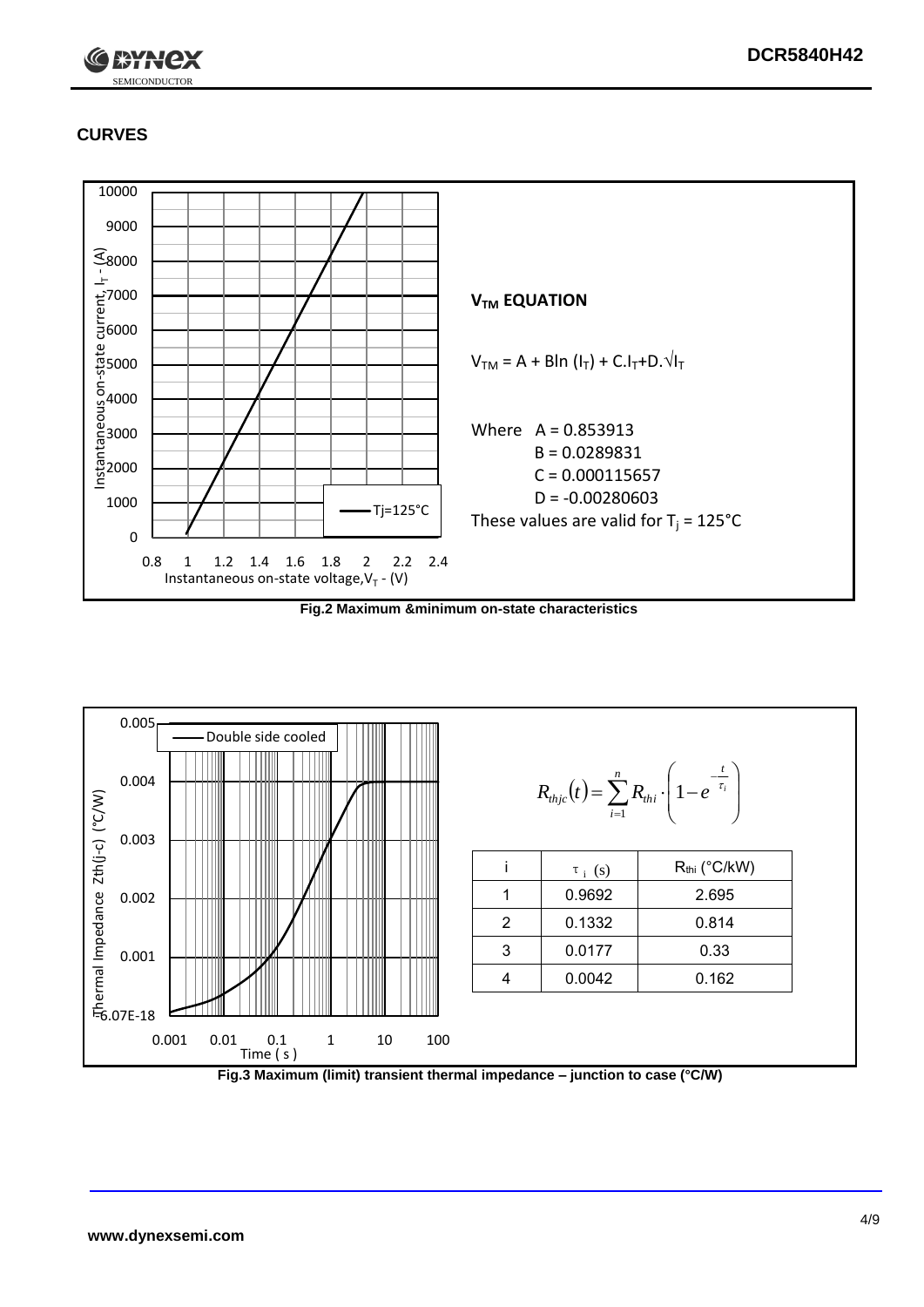

## **CURVES**



**Fig.2 Maximum &minimum on-state characteristics**



**Fig.3 Maximum (limit) transient thermal impedance – junction to case (°C/W)**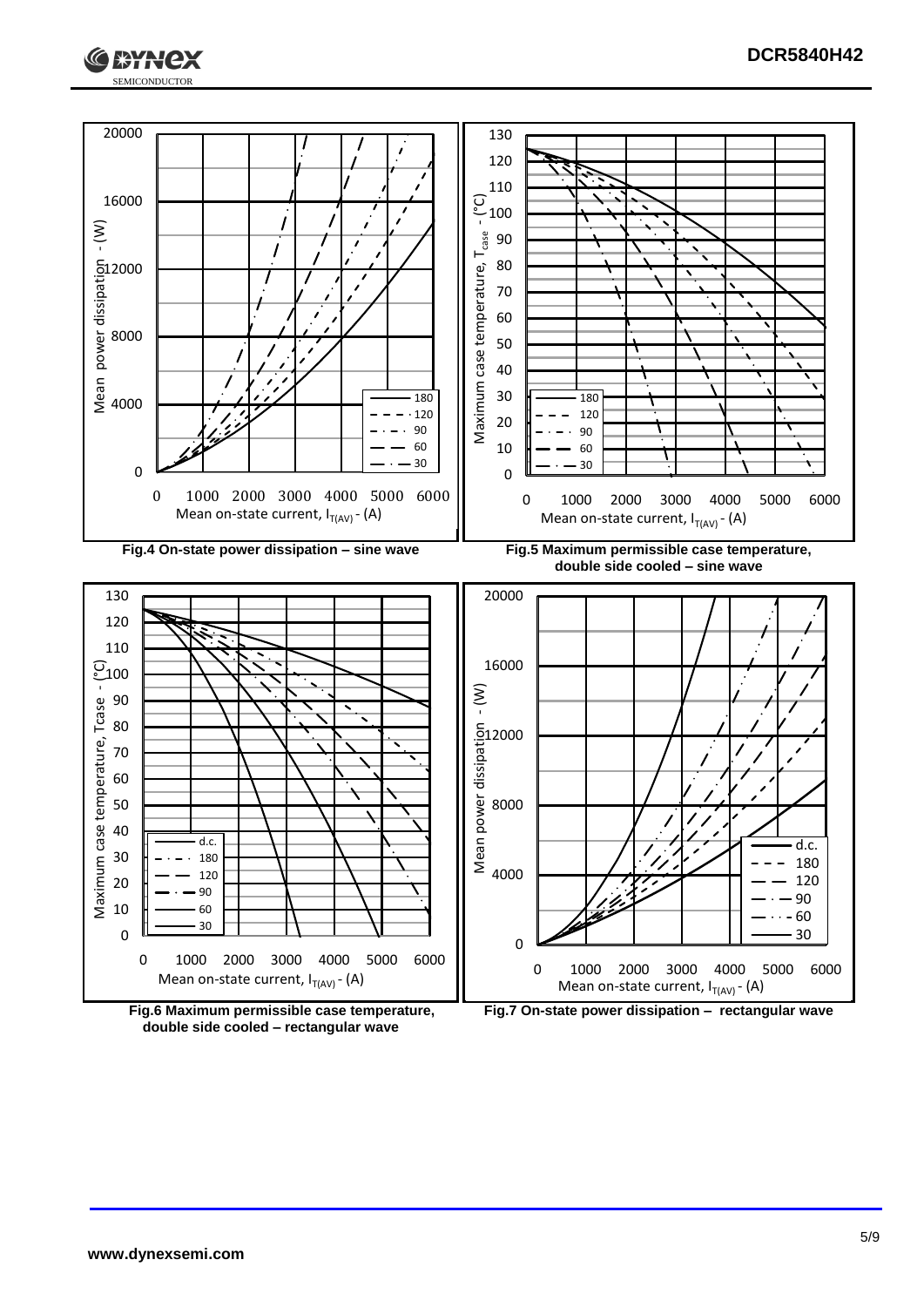





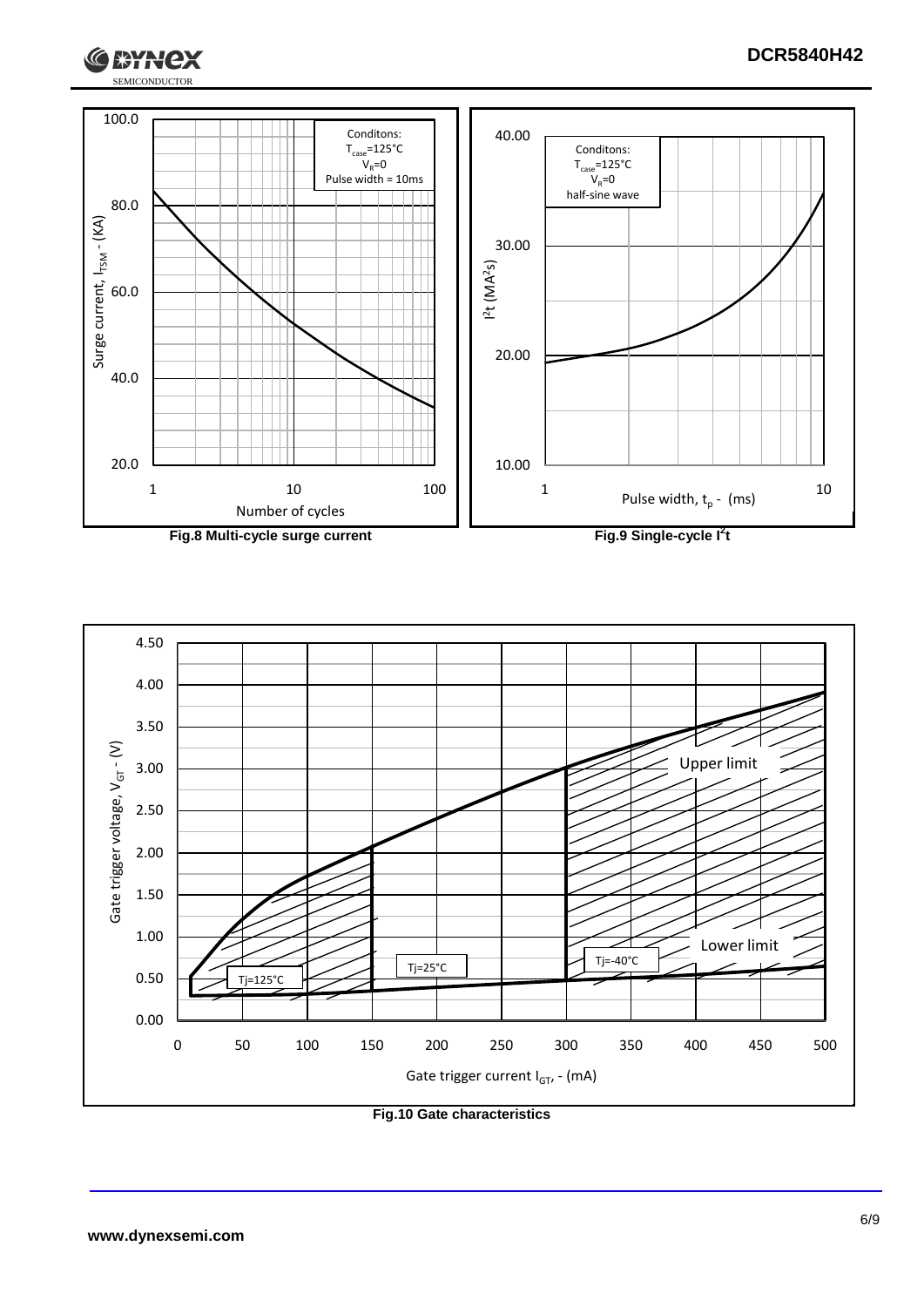





**Fig.10 Gate characteristics**

G

**I \*HNCX**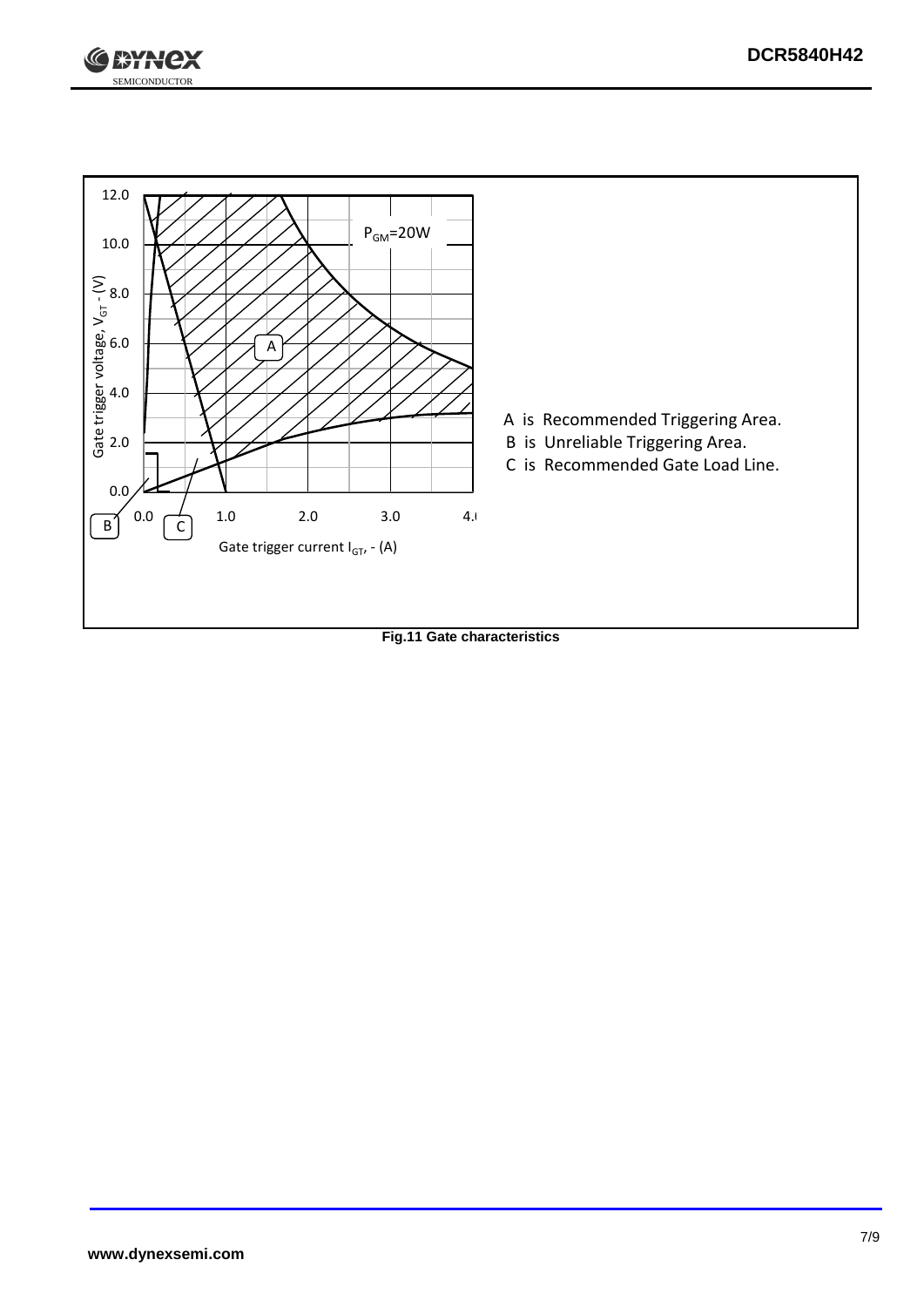



**Fig.11 Gate characteristics**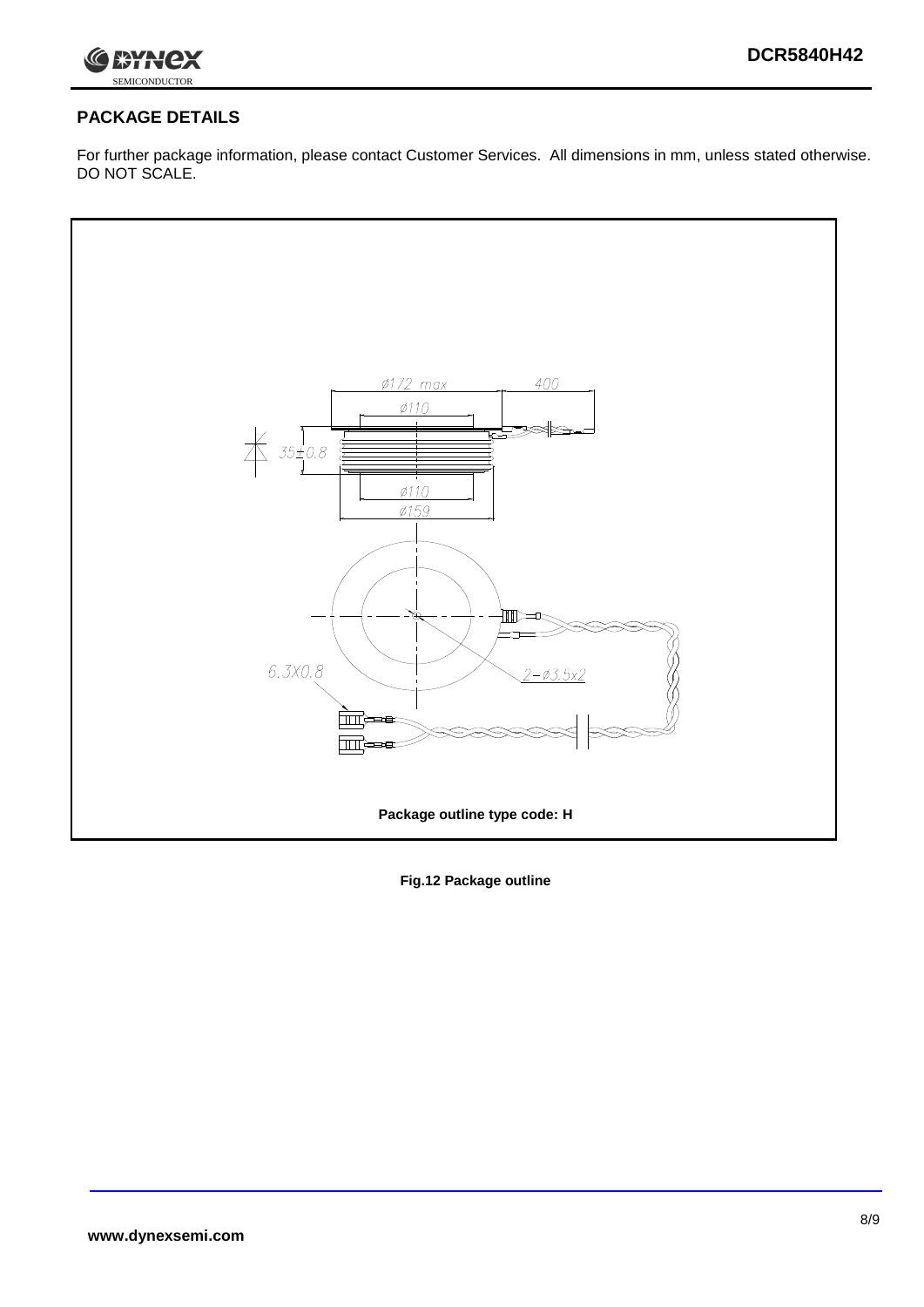

## **PACKAGE DETAILS**

For further package information, please contact Customer Services. All dimensions in mm, unless stated otherwise. DO NOT SCALE.



**Fig.12 Package outline**